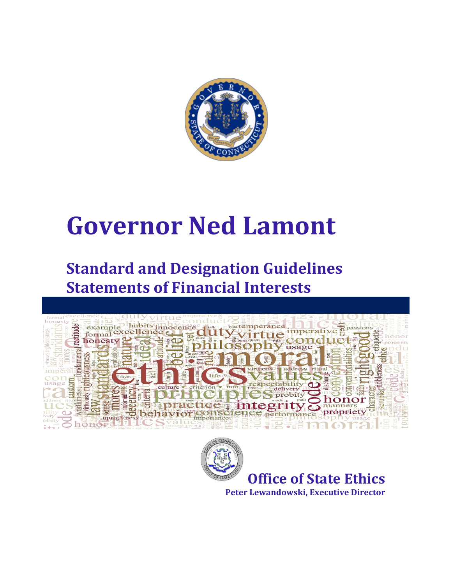

# **Governor Ned Lamont**

## **Standard and Designation Guidelines Statements of Financial Interests**





**Peter Lewandowski, Executive Director**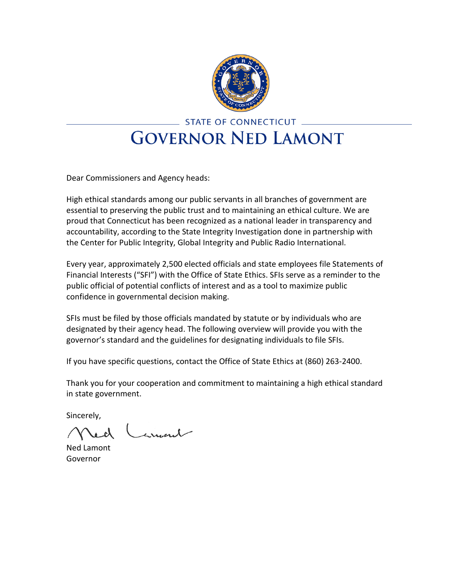

## STATE OF CONNECTICUT \_ **GOVERNOR NED LAMONT**

Dear Commissioners and Agency heads:

High ethical standards among our public servants in all branches of government are essential to preserving the public trust and to maintaining an ethical culture. We are proud that Connecticut has been recognized as a national leader in transparency and accountability, according to the State Integrity Investigation done in partnership with the Center for Public Integrity, Global Integrity and Public Radio International.

Every year, approximately 2,500 elected officials and state employees file Statements of Financial Interests ("SFI") with the Office of State Ethics. SFIs serve as a reminder to the public official of potential conflicts of interest and as a tool to maximize public confidence in governmental decision making.

SFIs must be filed by those officials mandated by statute or by individuals who are designated by their agency head. The following overview will provide you with the governor's standard and the guidelines for designating individuals to file SFIs.

If you have specific questions, contact the Office of State Ethics at (860) 263-2400.

Thank you for your cooperation and commitment to maintaining a high ethical standard in state government.

Sincerely,

Carment Ned

Ned Lamont Governor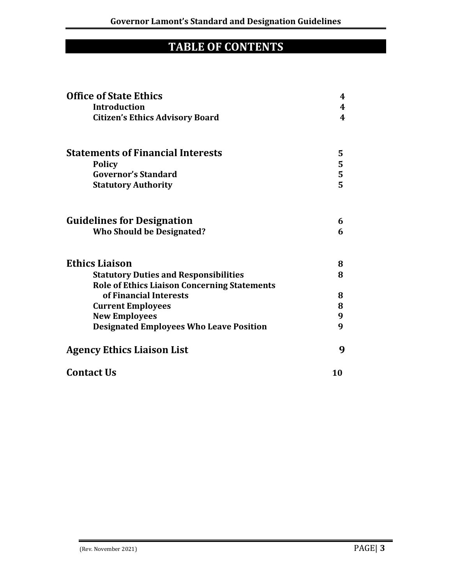### **TABLE OF CONTENTS**

| <b>Office of State Ethics</b>                       | 4                       |
|-----------------------------------------------------|-------------------------|
| <b>Introduction</b>                                 | $\boldsymbol{4}$        |
| <b>Citizen's Ethics Advisory Board</b>              | $\overline{\mathbf{4}}$ |
| <b>Statements of Financial Interests</b>            | 5                       |
| <b>Policy</b>                                       | 5                       |
| <b>Governor's Standard</b>                          | 5<br>5                  |
| <b>Statutory Authority</b>                          |                         |
| <b>Guidelines for Designation</b>                   | 6                       |
| <b>Who Should be Designated?</b>                    | 6                       |
| <b>Ethics Liaison</b>                               | 8                       |
| <b>Statutory Duties and Responsibilities</b>        | 8                       |
| <b>Role of Ethics Liaison Concerning Statements</b> |                         |
| of Financial Interests                              | 8                       |
| <b>Current Employees</b>                            | 8                       |
| <b>New Employees</b>                                | 9                       |
| <b>Designated Employees Who Leave Position</b>      | 9                       |
| <b>Agency Ethics Liaison List</b>                   | 9                       |
| <b>Contact Us</b>                                   | 10                      |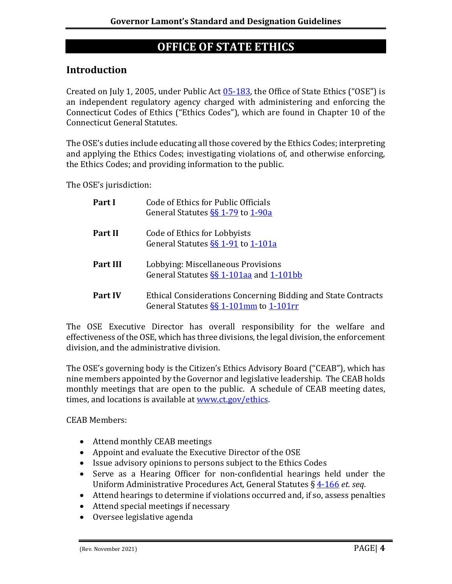#### **OFFICE OF STATE ETHICS**

#### **Introduction**

Created on July 1, 2005, under Public Act [05-183,](http://www.cga.ct.gov/2005/act/Pa/2005PA-00183-R00SB-00001-PA.htm) the Office of State Ethics ("OSE") is an independent regulatory agency charged with administering and enforcing the Connecticut Codes of Ethics ("Ethics Codes"), which are found in Chapter 10 of the Connecticut General Statutes.

The OSE's duties include educating all those covered by the Ethics Codes; interpreting and applying the Ethics Codes; investigating violations of, and otherwise enforcing, the Ethics Codes; and providing information to the public.

The OSE's jurisdiction:

| Part I          | Code of Ethics for Public Officials<br>General Statutes SS 1-79 to 1-90a                                  |
|-----------------|-----------------------------------------------------------------------------------------------------------|
| <b>Part II</b>  | Code of Ethics for Lobbyists<br>General Statutes §§ 1-91 to 1-101a                                        |
| <b>Part III</b> | Lobbying: Miscellaneous Provisions<br>General Statutes SS 1-101aa and 1-101bb                             |
| <b>Part IV</b>  | Ethical Considerations Concerning Bidding and State Contracts<br>General Statutes $\S$ 1-101mm to 1-101rm |

The OSE Executive Director has overall responsibility for the welfare and effectiveness of the OSE, which has three divisions, the legal division, the enforcement division, and the administrative division.

The OSE's governing body is the Citizen's Ethics Advisory Board ("CEAB"), which has nine members appointed by the Governor and legislative leadership. The CEAB holds monthly meetings that are open to the public. A schedule of CEAB meeting dates, times, and locations is available a[t www.ct.gov/ethics.](http://www.ct.gov/ethics)

CEAB Members:

- Attend monthly CEAB meetings
- Appoint and evaluate the Executive Director of the OSE
- Issue advisory opinions to persons subject to the Ethics Codes
- Serve as a Hearing Officer for non-confidential hearings held under the Uniform Administrative Procedures Act, General Statutes § [4-166](https://www.cga.ct.gov/current/pub/chap_054.htm#sec_4-166) *et. seq*.
- Attend hearings to determine if violations occurred and, if so, assess penalties
- Attend special meetings if necessary
- Oversee legislative agenda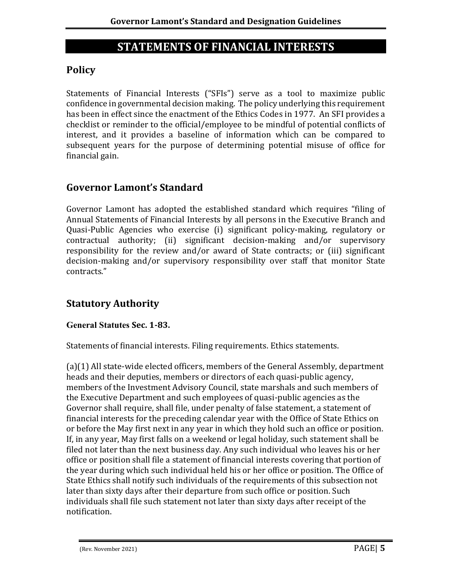#### **STATEMENTS OF FINANCIAL INTERESTS**

#### **Policy**

Statements of Financial Interests ("SFIs") serve as a tool to maximize public confidence in governmental decision making. The policy underlying this requirement has been in effect since the enactment of the Ethics Codes in 1977. An SFI provides a checklist or reminder to the official/employee to be mindful of potential conflicts of interest, and it provides a baseline of information which can be compared to subsequent years for the purpose of determining potential misuse of office for financial gain.

#### **Governor Lamont's Standard**

Governor Lamont has adopted the established standard which requires "filing of Annual Statements of Financial Interests by all persons in the Executive Branch and Quasi-Public Agencies who exercise (i) significant policy-making, regulatory or contractual authority; (ii) significant decision-making and/or supervisory responsibility for the review and/or award of State contracts; or (iii) significant decision-making and/or supervisory responsibility over staff that monitor State contracts."

#### **Statutory Authority**

#### **General Statutes Sec. 1-83.**

Statements of financial interests. Filing requirements. Ethics statements.

(a)(1) All state-wide elected officers, members of the General Assembly, department heads and their deputies, members or directors of each quasi-public agency, members of the Investment Advisory Council, state marshals and such members of the Executive Department and such employees of quasi-public agencies as the Governor shall require, shall file, under penalty of false statement, a statement of financial interests for the preceding calendar year with the Office of State Ethics on or before the May first next in any year in which they hold such an office or position. If, in any year, May first falls on a weekend or legal holiday, such statement shall be filed not later than the next business day. Any such individual who leaves his or her office or position shall file a statement of financial interests covering that portion of the year during which such individual held his or her office or position. The Office of State Ethics shall notify such individuals of the requirements of this subsection not later than sixty days after their departure from such office or position. Such individuals shall file such statement not later than sixty days after receipt of the notification.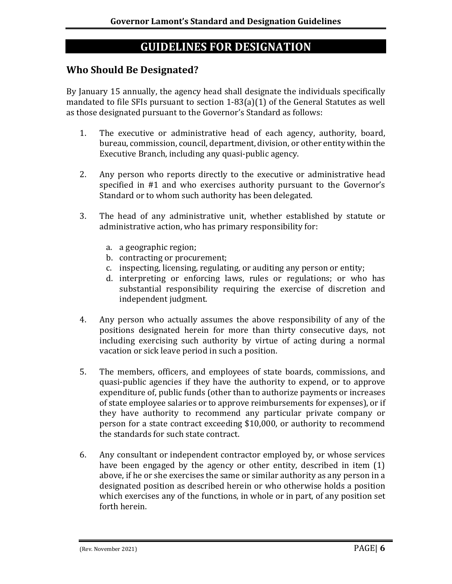#### **GUIDELINES FOR DESIGNATION**

#### **Who Should Be Designated?**

By January 15 annually, the agency head shall designate the individuals specifically mandated to file SFIs pursuant to section 1-83(a)(1) of the General Statutes as well as those designated pursuant to the Governor's Standard as follows:

- 1. The executive or administrative head of each agency, authority, board, bureau, commission, council, department, division, or other entity within the Executive Branch, including any quasi-public agency.
- 2. Any person who reports directly to the executive or administrative head specified in #1 and who exercises authority pursuant to the Governor's Standard or to whom such authority has been delegated.
- 3. The head of any administrative unit, whether established by statute or administrative action, who has primary responsibility for:
	- a. a geographic region;
	- b. contracting or procurement;
	- c. inspecting, licensing, regulating, or auditing any person or entity;
	- d. interpreting or enforcing laws, rules or regulations; or who has substantial responsibility requiring the exercise of discretion and independent judgment.
- 4. Any person who actually assumes the above responsibility of any of the positions designated herein for more than thirty consecutive days, not including exercising such authority by virtue of acting during a normal vacation or sick leave period in such a position.
- 5. The members, officers, and employees of state boards, commissions, and quasi-public agencies if they have the authority to expend, or to approve expenditure of, public funds (other than to authorize payments or increases of state employee salaries or to approve reimbursements for expenses), or if they have authority to recommend any particular private company or person for a state contract exceeding \$10,000, or authority to recommend the standards for such state contract.
- 6. Any consultant or independent contractor employed by, or whose services have been engaged by the agency or other entity, described in item (1) above, if he or she exercises the same or similar authority as any person in a designated position as described herein or who otherwise holds a position which exercises any of the functions, in whole or in part, of any position set forth herein.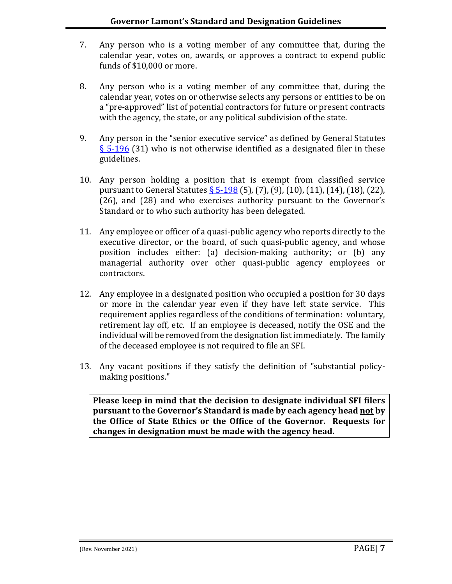- 7. Any person who is a voting member of any committee that, during the calendar year, votes on, awards, or approves a contract to expend public funds of \$10,000 or more.
- 8. Any person who is a voting member of any committee that, during the calendar year, votes on or otherwise selects any persons or entities to be on a "pre-approved" list of potential contractors for future or present contracts with the agency, the state, or any political subdivision of the state.
- 9. Any person in the "senior executive service" as defined by General Statutes § [5-196](https://www.cga.ct.gov/current/pub/chap_067.htm) (31) who is not otherwise identified as a designated filer in these guidelines.
- 10. Any person holding a position that is exempt from classified service pursuant to General Statutes  $\S$  [5-198](https://www.cga.ct.gov/current/pub/chap_067.htm#sec_5-198) (5), (7), (9), (10), (11), (14), (18), (22), (26), and (28) and who exercises authority pursuant to the Governor's Standard or to who such authority has been delegated.
- 11. Any employee or officer of a quasi-public agency who reports directly to the executive director, or the board, of such quasi-public agency, and whose position includes either: (a) decision-making authority; or (b) any managerial authority over other quasi-public agency employees or contractors.
- 12. Any employee in a designated position who occupied a position for 30 days or more in the calendar year even if they have left state service. This requirement applies regardless of the conditions of termination: voluntary, retirement lay off, etc. If an employee is deceased, notify the OSE and the individual will be removed from the designation list immediately. The family of the deceased employee is not required to file an SFI.
- 13. Any vacant positions if they satisfy the definition of "substantial policymaking positions."

**Please keep in mind that the decision to designate individual SFI filers pursuant to the Governor's Standard is made by each agency head not by the Office of State Ethics or the Office of the Governor. Requests for changes in designation must be made with the agency head.**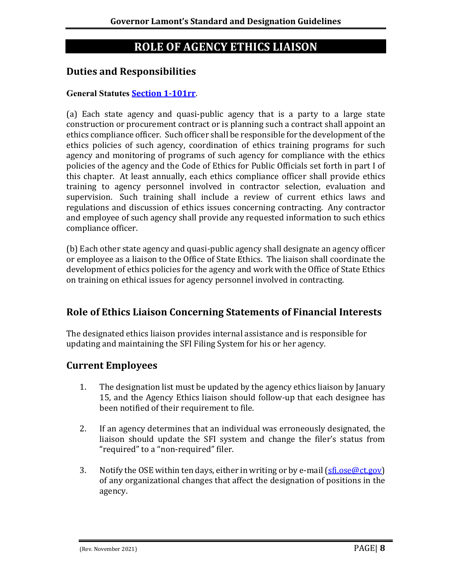#### **ROLE OF AGENCY ETHICS LIAISON**

#### **Duties and Responsibilities**

#### **General Statutes [Section 1-101rr](https://www.cga.ct.gov/current/pub/chap_010.htm#sec_1-101rr)**.

(a) Each state agency and quasi-public agency that is a party to a large state construction or procurement contract or is planning such a contract shall appoint an ethics compliance officer. Such officer shall be responsible for the development of the ethics policies of such agency, coordination of ethics training programs for such agency and monitoring of programs of such agency for compliance with the ethics policies of the agency and the Code of Ethics for Public Officials set forth in part I of this chapter. At least annually, each ethics compliance officer shall provide ethics training to agency personnel involved in contractor selection, evaluation and supervision. Such training shall include a review of current ethics laws and regulations and discussion of ethics issues concerning contracting. Any contractor and employee of such agency shall provide any requested information to such ethics compliance officer.

(b) Each other state agency and quasi-public agency shall designate an agency officer or employee as a liaison to the Office of State Ethics. The liaison shall coordinate the development of ethics policies for the agency and work with the Office of State Ethics on training on ethical issues for agency personnel involved in contracting.

#### **Role of Ethics Liaison Concerning Statements of Financial Interests**

The designated ethics liaison provides internal assistance and is responsible for updating and maintaining the SFI Filing System for his or her agency.

#### **Current Employees**

- 1. The designation list must be updated by the agency ethics liaison by January 15, and the Agency Ethics liaison should follow-up that each designee has been notified of their requirement to file.
- 2. If an agency determines that an individual was erroneously designated, the liaison should update the SFI system and change the filer's status from "required" to a "non-required" filer.
- 3. Notify the OSE within ten days, either in writing or by e-mail  $(sfi.ose@ct.gov)$ of any organizational changes that affect the designation of positions in the agency.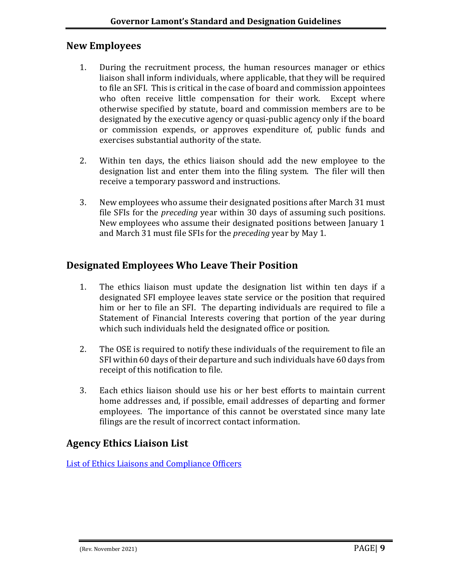#### **New Employees**

- 1. During the recruitment process, the human resources manager or ethics liaison shall inform individuals, where applicable, that they will be required to file an SFI. This is critical in the case of board and commission appointees who often receive little compensation for their work. Except where otherwise specified by statute, board and commission members are to be designated by the executive agency or quasi-public agency only if the board or commission expends, or approves expenditure of, public funds and exercises substantial authority of the state.
- 2. Within ten days, the ethics liaison should add the new employee to the designation list and enter them into the filing system. The filer will then receive a temporary password and instructions.
- 3. New employees who assume their designated positions after March 31 must file SFIs for the *preceding* year within 30 days of assuming such positions. New employees who assume their designated positions between January 1 and March 31 must file SFIs for the *preceding* year by May 1.

#### **Designated Employees Who Leave Their Position**

- 1. The ethics liaison must update the designation list within ten days if a designated SFI employee leaves state service or the position that required him or her to file an SFI. The departing individuals are required to file a Statement of Financial Interests covering that portion of the year during which such individuals held the designated office or position.
- 2. The OSE is required to notify these individuals of the requirement to file an SFI within 60 days of their departure and such individuals have 60 days from receipt of this notification to file.
- 3. Each ethics liaison should use his or her best efforts to maintain current home addresses and, if possible, email addresses of departing and former employees. The importance of this cannot be overstated since many late filings are the result of incorrect contact information.

#### **Agency Ethics Liaison List**

List of [Ethics Liaisons and Compliance Officers](https://portal.ct.gov/Ethics/Liaison_Compliance-Corner/Ethics-LiaisonCompliance-Officer-Corner/Ethics-Liaisons-and-Compliance-Officers)